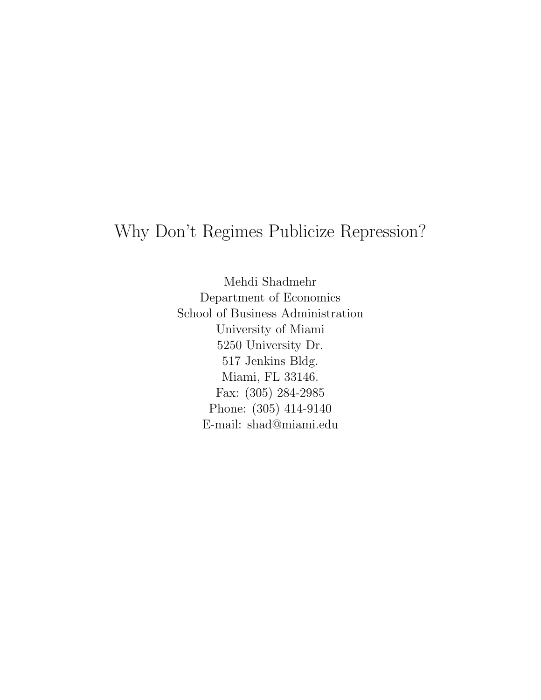# Why Don't Regimes Publicize Repression?

Mehdi Shadmehr Department of Economics School of Business Administration University of Miami 5250 University Dr. 517 Jenkins Bldg. Miami, FL 33146. Fax: (305) 284-2985 Phone: (305) 414-9140 E-mail: shad@miami.edu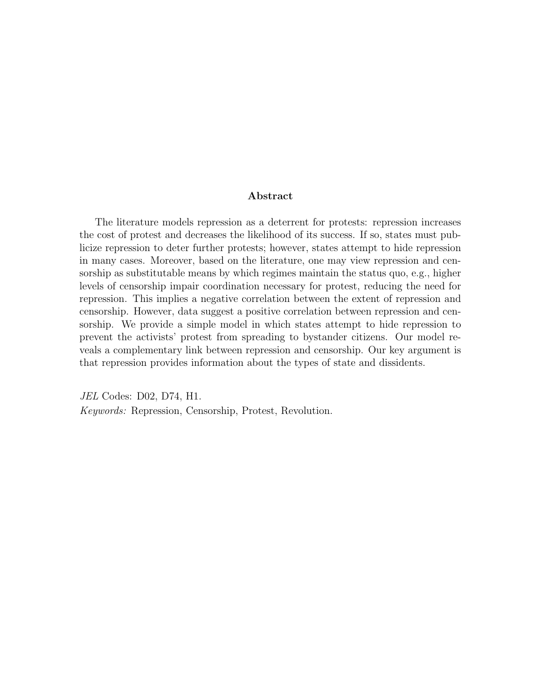#### Abstract

The literature models repression as a deterrent for protests: repression increases the cost of protest and decreases the likelihood of its success. If so, states must publicize repression to deter further protests; however, states attempt to hide repression in many cases. Moreover, based on the literature, one may view repression and censorship as substitutable means by which regimes maintain the status quo, e.g., higher levels of censorship impair coordination necessary for protest, reducing the need for repression. This implies a negative correlation between the extent of repression and censorship. However, data suggest a positive correlation between repression and censorship. We provide a simple model in which states attempt to hide repression to prevent the activists' protest from spreading to bystander citizens. Our model reveals a complementary link between repression and censorship. Our key argument is that repression provides information about the types of state and dissidents.

JEL Codes: D02, D74, H1. Keywords: Repression, Censorship, Protest, Revolution.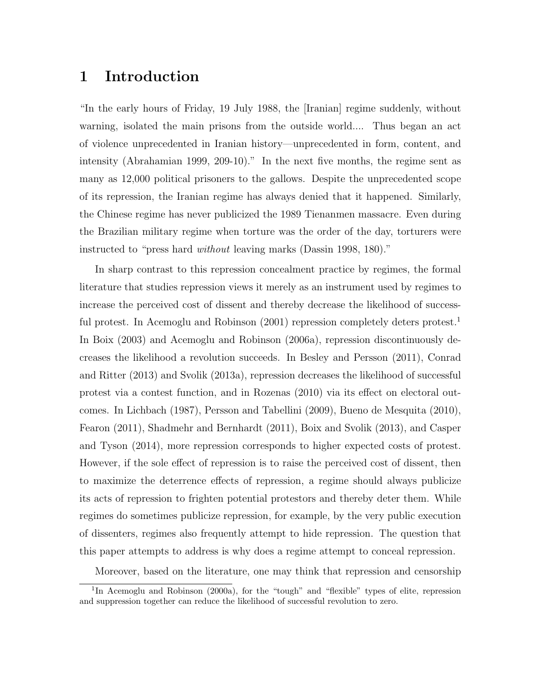# 1 Introduction

"In the early hours of Friday, 19 July 1988, the [Iranian] regime suddenly, without warning, isolated the main prisons from the outside world.... Thus began an act of violence unprecedented in Iranian history—unprecedented in form, content, and intensity (Abrahamian 1999, 209-10)." In the next five months, the regime sent as many as 12,000 political prisoners to the gallows. Despite the unprecedented scope of its repression, the Iranian regime has always denied that it happened. Similarly, the Chinese regime has never publicized the 1989 Tienanmen massacre. Even during the Brazilian military regime when torture was the order of the day, torturers were instructed to "press hard without leaving marks (Dassin 1998, 180)."

In sharp contrast to this repression concealment practice by regimes, the formal literature that studies repression views it merely as an instrument used by regimes to increase the perceived cost of dissent and thereby decrease the likelihood of successful protest. In Acemoglu and Robinson  $(2001)$  repression completely deters protest.<sup>1</sup> In Boix (2003) and Acemoglu and Robinson (2006a), repression discontinuously decreases the likelihood a revolution succeeds. In Besley and Persson (2011), Conrad and Ritter (2013) and Svolik (2013a), repression decreases the likelihood of successful protest via a contest function, and in Rozenas (2010) via its effect on electoral outcomes. In Lichbach (1987), Persson and Tabellini (2009), Bueno de Mesquita (2010), Fearon (2011), Shadmehr and Bernhardt (2011), Boix and Svolik (2013), and Casper and Tyson (2014), more repression corresponds to higher expected costs of protest. However, if the sole effect of repression is to raise the perceived cost of dissent, then to maximize the deterrence effects of repression, a regime should always publicize its acts of repression to frighten potential protestors and thereby deter them. While regimes do sometimes publicize repression, for example, by the very public execution of dissenters, regimes also frequently attempt to hide repression. The question that this paper attempts to address is why does a regime attempt to conceal repression.

Moreover, based on the literature, one may think that repression and censorship

<sup>&</sup>lt;sup>1</sup>In Acemoglu and Robinson (2000a), for the "tough" and "flexible" types of elite, repression and suppression together can reduce the likelihood of successful revolution to zero.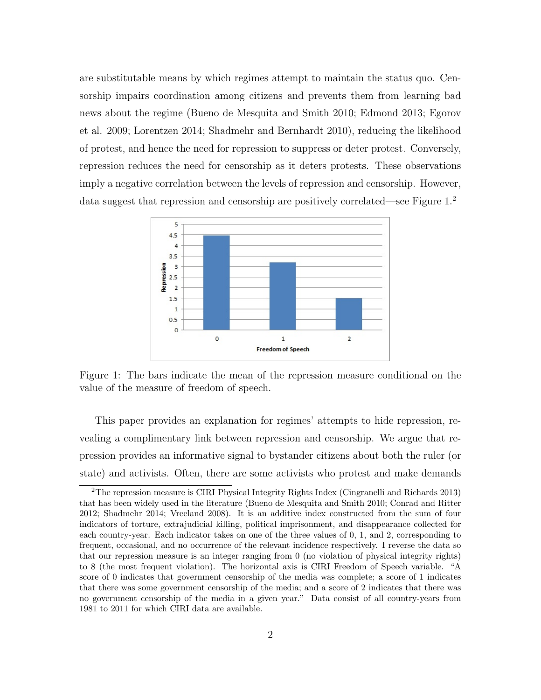are substitutable means by which regimes attempt to maintain the status quo. Censorship impairs coordination among citizens and prevents them from learning bad news about the regime (Bueno de Mesquita and Smith 2010; Edmond 2013; Egorov et al. 2009; Lorentzen 2014; Shadmehr and Bernhardt 2010), reducing the likelihood of protest, and hence the need for repression to suppress or deter protest. Conversely, repression reduces the need for censorship as it deters protests. These observations imply a negative correlation between the levels of repression and censorship. However, data suggest that repression and censorship are positively correlated—see Figure 1.<sup>2</sup>



Figure 1: The bars indicate the mean of the repression measure conditional on the value of the measure of freedom of speech.

This paper provides an explanation for regimes' attempts to hide repression, revealing a complimentary link between repression and censorship. We argue that repression provides an informative signal to bystander citizens about both the ruler (or state) and activists. Often, there are some activists who protest and make demands

<sup>2</sup>The repression measure is CIRI Physical Integrity Rights Index (Cingranelli and Richards 2013) that has been widely used in the literature (Bueno de Mesquita and Smith 2010; Conrad and Ritter 2012; Shadmehr 2014; Vreeland 2008). It is an additive index constructed from the sum of four indicators of torture, extrajudicial killing, political imprisonment, and disappearance collected for each country-year. Each indicator takes on one of the three values of 0, 1, and 2, corresponding to frequent, occasional, and no occurrence of the relevant incidence respectively. I reverse the data so that our repression measure is an integer ranging from 0 (no violation of physical integrity rights) to 8 (the most frequent violation). The horizontal axis is CIRI Freedom of Speech variable. "A score of 0 indicates that government censorship of the media was complete; a score of 1 indicates that there was some government censorship of the media; and a score of 2 indicates that there was no government censorship of the media in a given year." Data consist of all country-years from 1981 to 2011 for which CIRI data are available.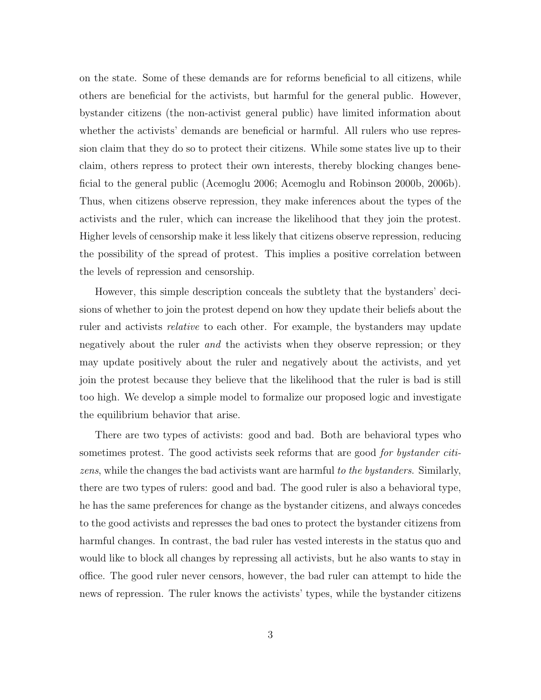on the state. Some of these demands are for reforms beneficial to all citizens, while others are beneficial for the activists, but harmful for the general public. However, bystander citizens (the non-activist general public) have limited information about whether the activists' demands are beneficial or harmful. All rulers who use repression claim that they do so to protect their citizens. While some states live up to their claim, others repress to protect their own interests, thereby blocking changes beneficial to the general public (Acemoglu 2006; Acemoglu and Robinson 2000b, 2006b). Thus, when citizens observe repression, they make inferences about the types of the activists and the ruler, which can increase the likelihood that they join the protest. Higher levels of censorship make it less likely that citizens observe repression, reducing the possibility of the spread of protest. This implies a positive correlation between the levels of repression and censorship.

However, this simple description conceals the subtlety that the bystanders' decisions of whether to join the protest depend on how they update their beliefs about the ruler and activists *relative* to each other. For example, the bystanders may update negatively about the ruler *and* the activists when they observe repression; or they may update positively about the ruler and negatively about the activists, and yet join the protest because they believe that the likelihood that the ruler is bad is still too high. We develop a simple model to formalize our proposed logic and investigate the equilibrium behavior that arise.

There are two types of activists: good and bad. Both are behavioral types who sometimes protest. The good activists seek reforms that are good *for bystander citi*zens, while the changes the bad activists want are harmful to the bystanders. Similarly, there are two types of rulers: good and bad. The good ruler is also a behavioral type, he has the same preferences for change as the bystander citizens, and always concedes to the good activists and represses the bad ones to protect the bystander citizens from harmful changes. In contrast, the bad ruler has vested interests in the status quo and would like to block all changes by repressing all activists, but he also wants to stay in office. The good ruler never censors, however, the bad ruler can attempt to hide the news of repression. The ruler knows the activists' types, while the bystander citizens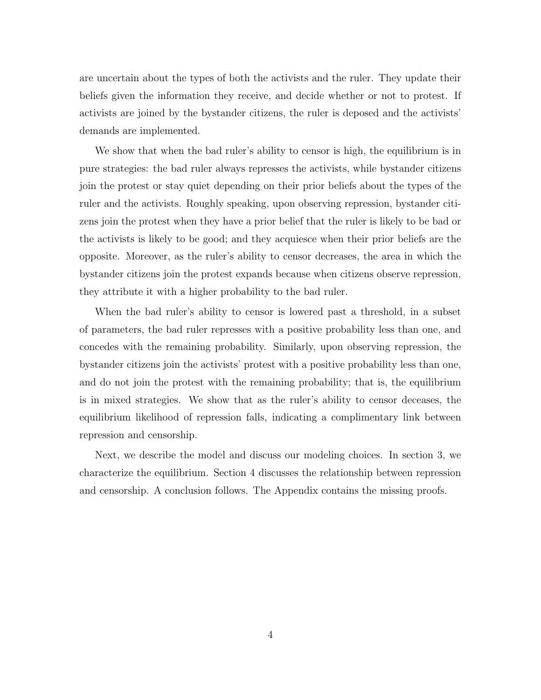are uncertain about the types of both the activists and the ruler. They update their beliefs given the information they receive, and decide whether or not to protest. If activists are joined by the bystander citizens, the ruler is deposed and the activists' demands are implemented.

We show that when the bad ruler's ability to censor is high, the equilibrium is in pure strategies: the bad ruler always represses the activists, while bystander citizens join the protest or stay quiet depending on their prior beliefs about the types of the ruler and the activists. Roughly speaking, upon observing repression, bystander citizens join the protest when they have a prior belief that the ruler is likely to be bad or the activists is likely to be good; and they acquiesce when their prior beliefs are the opposite. Moreover, as the ruler's ability to censor decreases, the area in which the bystander citizens join the protest expands because when citizens observe repression, they attribute it with a higher probability to the bad ruler.

When the bad ruler's ability to censor is lowered past a threshold, in a subset of parameters, the bad ruler represses with a positive probability less than one, and concedes with the remaining probability. Similarly, upon observing repression, the bystander citizens join the activists' protest with a positive probability less than one, and do not join the protest with the remaining probability; that is, the equilibrium is in mixed strategies. We show that as the ruler's ability to censor deceases, the equilibrium likelihood of repression falls, indicating a complimentary link between repression and censorship.

Next, we describe the model and discuss our modeling choices. In section 3, we characterize the equilibrium. Section 4 discusses the relationship between repression and censorship. A conclusion follows. The Appendix contains the missing proofs.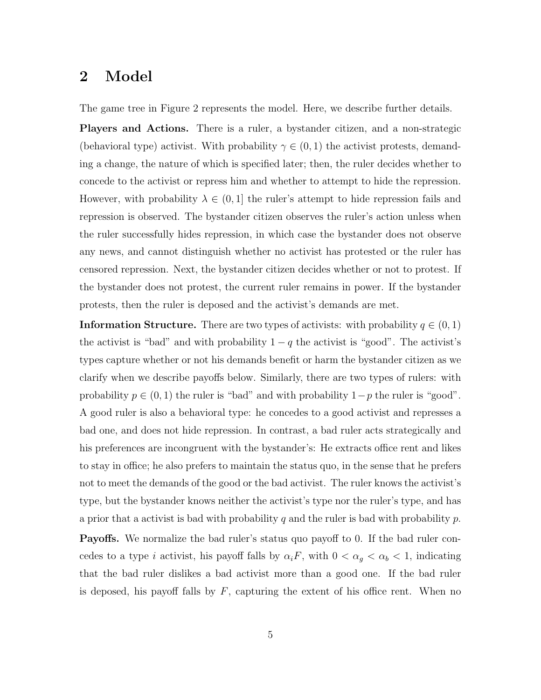# 2 Model

The game tree in Figure 2 represents the model. Here, we describe further details.

Players and Actions. There is a ruler, a bystander citizen, and a non-strategic (behavioral type) activist. With probability  $\gamma \in (0,1)$  the activist protests, demanding a change, the nature of which is specified later; then, the ruler decides whether to concede to the activist or repress him and whether to attempt to hide the repression. However, with probability  $\lambda \in (0,1]$  the ruler's attempt to hide repression fails and repression is observed. The bystander citizen observes the ruler's action unless when the ruler successfully hides repression, in which case the bystander does not observe any news, and cannot distinguish whether no activist has protested or the ruler has censored repression. Next, the bystander citizen decides whether or not to protest. If the bystander does not protest, the current ruler remains in power. If the bystander protests, then the ruler is deposed and the activist's demands are met.

**Information Structure.** There are two types of activists: with probability  $q \in (0,1)$ the activist is "bad" and with probability  $1 - q$  the activist is "good". The activist's types capture whether or not his demands benefit or harm the bystander citizen as we clarify when we describe payoffs below. Similarly, there are two types of rulers: with probability  $p \in (0, 1)$  the ruler is "bad" and with probability  $1-p$  the ruler is "good". A good ruler is also a behavioral type: he concedes to a good activist and represses a bad one, and does not hide repression. In contrast, a bad ruler acts strategically and his preferences are incongruent with the bystander's: He extracts office rent and likes to stay in office; he also prefers to maintain the status quo, in the sense that he prefers not to meet the demands of the good or the bad activist. The ruler knows the activist's type, but the bystander knows neither the activist's type nor the ruler's type, and has a prior that a activist is bad with probability q and the ruler is bad with probability  $p$ .

**Payoffs.** We normalize the bad ruler's status quo payoff to 0. If the bad ruler concedes to a type i activist, his payoff falls by  $\alpha_i F$ , with  $0 < \alpha_g < \alpha_b < 1$ , indicating that the bad ruler dislikes a bad activist more than a good one. If the bad ruler is deposed, his payoff falls by  $F$ , capturing the extent of his office rent. When no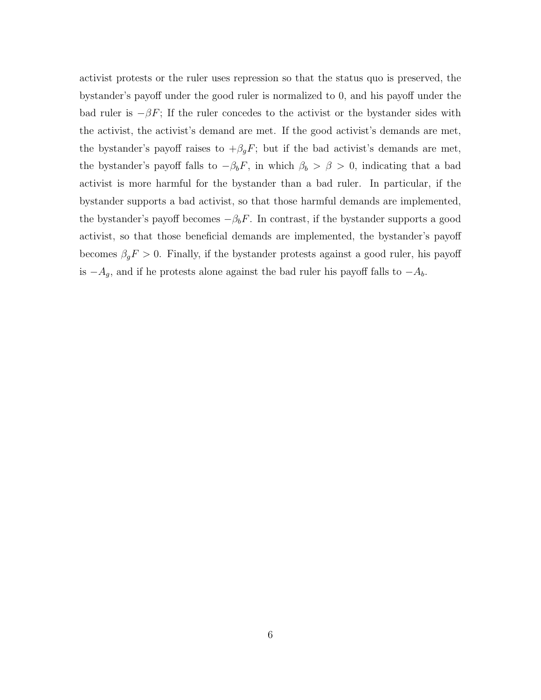activist protests or the ruler uses repression so that the status quo is preserved, the bystander's payoff under the good ruler is normalized to 0, and his payoff under the bad ruler is  $-\beta F$ ; If the ruler concedes to the activist or the bystander sides with the activist, the activist's demand are met. If the good activist's demands are met, the bystander's payoff raises to  $+\beta_g F$ ; but if the bad activist's demands are met, the bystander's payoff falls to  $-\beta_b F$ , in which  $\beta_b > \beta > 0$ , indicating that a bad activist is more harmful for the bystander than a bad ruler. In particular, if the bystander supports a bad activist, so that those harmful demands are implemented, the bystander's payoff becomes  $-\beta_b F$ . In contrast, if the bystander supports a good activist, so that those beneficial demands are implemented, the bystander's payoff becomes  $\beta_g F > 0$ . Finally, if the bystander protests against a good ruler, his payoff is  $-A_g$ , and if he protests alone against the bad ruler his payoff falls to  $-A_b$ .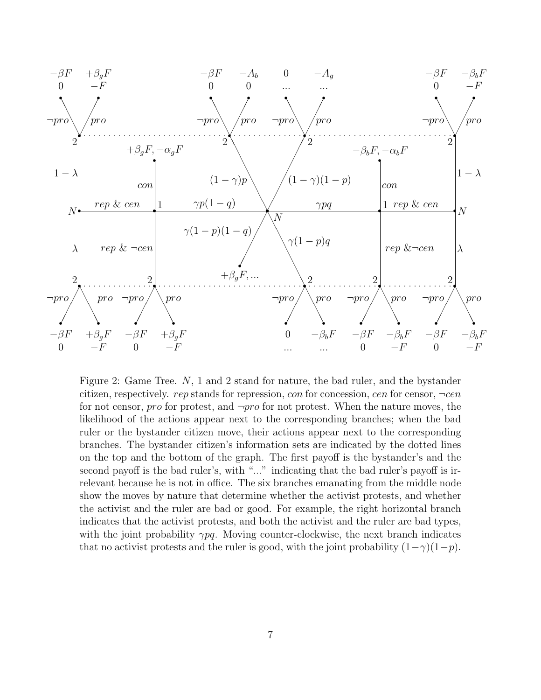

Figure 2: Game Tree. N, 1 and 2 stand for nature, the bad ruler, and the bystander citizen, respectively. rep stands for repression, con for concession, cen for censor,  $\neg cen$ for not censor, pro for protest, and  $\neg pro$  for not protest. When the nature moves, the likelihood of the actions appear next to the corresponding branches; when the bad ruler or the bystander citizen move, their actions appear next to the corresponding branches. The bystander citizen's information sets are indicated by the dotted lines on the top and the bottom of the graph. The first payoff is the bystander's and the second payoff is the bad ruler's, with "..." indicating that the bad ruler's payoff is irrelevant because he is not in office. The six branches emanating from the middle node show the moves by nature that determine whether the activist protests, and whether the activist and the ruler are bad or good. For example, the right horizontal branch indicates that the activist protests, and both the activist and the ruler are bad types, with the joint probability  $\gamma pq$ . Moving counter-clockwise, the next branch indicates that no activist protests and the ruler is good, with the joint probability  $(1-\gamma)(1-p)$ .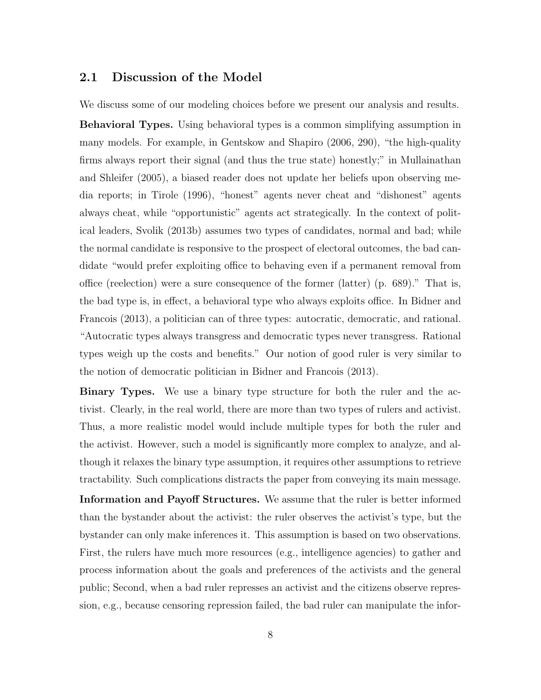#### 2.1 Discussion of the Model

We discuss some of our modeling choices before we present our analysis and results.

Behavioral Types. Using behavioral types is a common simplifying assumption in many models. For example, in Gentskow and Shapiro (2006, 290), "the high-quality firms always report their signal (and thus the true state) honestly;" in Mullainathan and Shleifer (2005), a biased reader does not update her beliefs upon observing media reports; in Tirole (1996), "honest" agents never cheat and "dishonest" agents always cheat, while "opportunistic" agents act strategically. In the context of political leaders, Svolik (2013b) assumes two types of candidates, normal and bad; while the normal candidate is responsive to the prospect of electoral outcomes, the bad candidate "would prefer exploiting office to behaving even if a permanent removal from office (reelection) were a sure consequence of the former (latter) (p. 689)." That is, the bad type is, in effect, a behavioral type who always exploits office. In Bidner and Francois (2013), a politician can of three types: autocratic, democratic, and rational. "Autocratic types always transgress and democratic types never transgress. Rational types weigh up the costs and benefits." Our notion of good ruler is very similar to the notion of democratic politician in Bidner and Francois (2013).

Binary Types. We use a binary type structure for both the ruler and the activist. Clearly, in the real world, there are more than two types of rulers and activist. Thus, a more realistic model would include multiple types for both the ruler and the activist. However, such a model is significantly more complex to analyze, and although it relaxes the binary type assumption, it requires other assumptions to retrieve tractability. Such complications distracts the paper from conveying its main message.

Information and Payoff Structures. We assume that the ruler is better informed than the bystander about the activist: the ruler observes the activist's type, but the bystander can only make inferences it. This assumption is based on two observations. First, the rulers have much more resources (e.g., intelligence agencies) to gather and process information about the goals and preferences of the activists and the general public; Second, when a bad ruler represses an activist and the citizens observe repression, e.g., because censoring repression failed, the bad ruler can manipulate the infor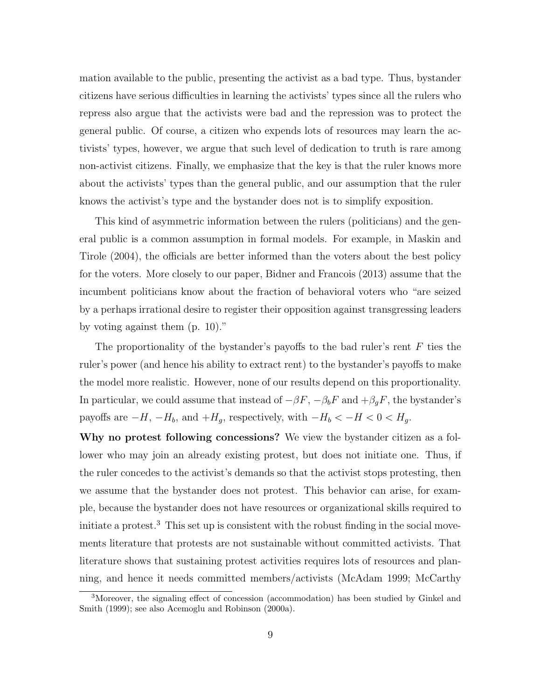mation available to the public, presenting the activist as a bad type. Thus, bystander citizens have serious difficulties in learning the activists' types since all the rulers who repress also argue that the activists were bad and the repression was to protect the general public. Of course, a citizen who expends lots of resources may learn the activists' types, however, we argue that such level of dedication to truth is rare among non-activist citizens. Finally, we emphasize that the key is that the ruler knows more about the activists' types than the general public, and our assumption that the ruler knows the activist's type and the bystander does not is to simplify exposition.

This kind of asymmetric information between the rulers (politicians) and the general public is a common assumption in formal models. For example, in Maskin and Tirole (2004), the officials are better informed than the voters about the best policy for the voters. More closely to our paper, Bidner and Francois (2013) assume that the incumbent politicians know about the fraction of behavioral voters who "are seized by a perhaps irrational desire to register their opposition against transgressing leaders by voting against them (p. 10)."

The proportionality of the bystander's payoffs to the bad ruler's rent  $F$  ties the ruler's power (and hence his ability to extract rent) to the bystander's payoffs to make the model more realistic. However, none of our results depend on this proportionality. In particular, we could assume that instead of  $-\beta F$ ,  $-\beta_b F$  and  $+\beta_g F$ , the bystander's payoffs are  $-H$ ,  $-H_b$ , and  $+H_g$ , respectively, with  $-H_b < -H < 0 < H_g$ .

Why no protest following concessions? We view the bystander citizen as a follower who may join an already existing protest, but does not initiate one. Thus, if the ruler concedes to the activist's demands so that the activist stops protesting, then we assume that the bystander does not protest. This behavior can arise, for example, because the bystander does not have resources or organizational skills required to initiate a protest.<sup>3</sup> This set up is consistent with the robust finding in the social movements literature that protests are not sustainable without committed activists. That literature shows that sustaining protest activities requires lots of resources and planning, and hence it needs committed members/activists (McAdam 1999; McCarthy

<sup>3</sup>Moreover, the signaling effect of concession (accommodation) has been studied by Ginkel and Smith (1999); see also Acemoglu and Robinson (2000a).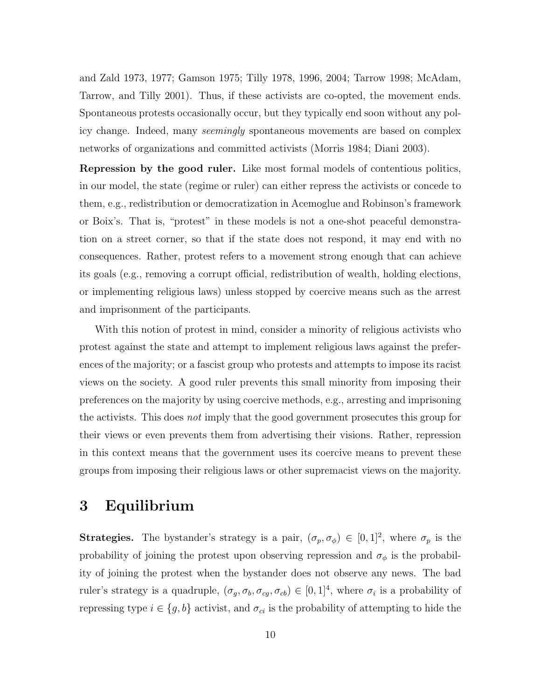and Zald 1973, 1977; Gamson 1975; Tilly 1978, 1996, 2004; Tarrow 1998; McAdam, Tarrow, and Tilly 2001). Thus, if these activists are co-opted, the movement ends. Spontaneous protests occasionally occur, but they typically end soon without any policy change. Indeed, many seemingly spontaneous movements are based on complex networks of organizations and committed activists (Morris 1984; Diani 2003).

Repression by the good ruler. Like most formal models of contentious politics, in our model, the state (regime or ruler) can either repress the activists or concede to them, e.g., redistribution or democratization in Acemoglue and Robinson's framework or Boix's. That is, "protest" in these models is not a one-shot peaceful demonstration on a street corner, so that if the state does not respond, it may end with no consequences. Rather, protest refers to a movement strong enough that can achieve its goals (e.g., removing a corrupt official, redistribution of wealth, holding elections, or implementing religious laws) unless stopped by coercive means such as the arrest and imprisonment of the participants.

With this notion of protest in mind, consider a minority of religious activists who protest against the state and attempt to implement religious laws against the preferences of the majority; or a fascist group who protests and attempts to impose its racist views on the society. A good ruler prevents this small minority from imposing their preferences on the majority by using coercive methods, e.g., arresting and imprisoning the activists. This does not imply that the good government prosecutes this group for their views or even prevents them from advertising their visions. Rather, repression in this context means that the government uses its coercive means to prevent these groups from imposing their religious laws or other supremacist views on the majority.

## 3 Equilibrium

**Strategies.** The bystander's strategy is a pair,  $(\sigma_p, \sigma_\phi) \in [0, 1]^2$ , where  $\sigma_p$  is the probability of joining the protest upon observing repression and  $\sigma_{\phi}$  is the probability of joining the protest when the bystander does not observe any news. The bad ruler's strategy is a quadruple,  $(\sigma_g, \sigma_b, \sigma_{cg}, \sigma_{cb}) \in [0, 1]^4$ , where  $\sigma_i$  is a probability of repressing type  $i \in \{g, b\}$  activist, and  $\sigma_{ci}$  is the probability of attempting to hide the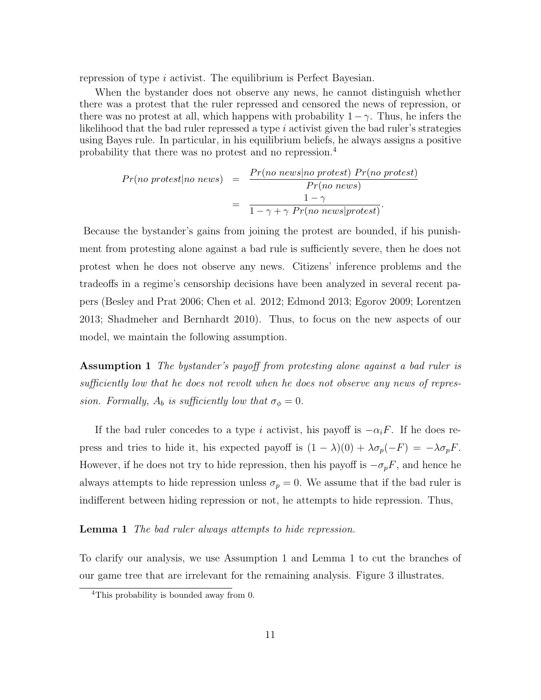repression of type *i* activist. The equilibrium is Perfect Bayesian.

When the bystander does not observe any news, he cannot distinguish whether there was a protest that the ruler repressed and censored the news of repression, or there was no protest at all, which happens with probability  $1 - \gamma$ . Thus, he infers the likelihood that the bad ruler repressed a type  $i$  activist given the bad ruler's strategies using Bayes rule. In particular, in his equilibrium beliefs, he always assigns a positive probability that there was no protest and no repression.<sup>4</sup>

$$
Pr(no\; protest|no\;news) = \frac{Pr(no\;news|no\; protest) \;Pr(no\;protest)}{Pr(no\;news)}
$$

$$
= \frac{1 - \gamma}{1 - \gamma + \gamma \;Pr(no\;news|protest)}.
$$

Because the bystander's gains from joining the protest are bounded, if his punishment from protesting alone against a bad rule is sufficiently severe, then he does not protest when he does not observe any news. Citizens' inference problems and the tradeoffs in a regime's censorship decisions have been analyzed in several recent papers (Besley and Prat 2006; Chen et al. 2012; Edmond 2013; Egorov 2009; Lorentzen 2013; Shadmeher and Bernhardt 2010). Thus, to focus on the new aspects of our model, we maintain the following assumption.

Assumption 1 The bystander's payoff from protesting alone against a bad ruler is sufficiently low that he does not revolt when he does not observe any news of repression. Formally,  $A_b$  is sufficiently low that  $\sigma_{\phi} = 0$ .

If the bad ruler concedes to a type i activist, his payoff is  $-\alpha_iF$ . If he does repress and tries to hide it, his expected payoff is  $(1 - \lambda)(0) + \lambda \sigma_p(-F) = -\lambda \sigma_p F$ . However, if he does not try to hide repression, then his payoff is  $-\sigma_p F$ , and hence he always attempts to hide repression unless  $\sigma_p = 0$ . We assume that if the bad ruler is indifferent between hiding repression or not, he attempts to hide repression. Thus,

**Lemma 1** The bad ruler always attempts to hide repression.

To clarify our analysis, we use Assumption 1 and Lemma 1 to cut the branches of our game tree that are irrelevant for the remaining analysis. Figure 3 illustrates.

<sup>&</sup>lt;sup>4</sup>This probability is bounded away from 0.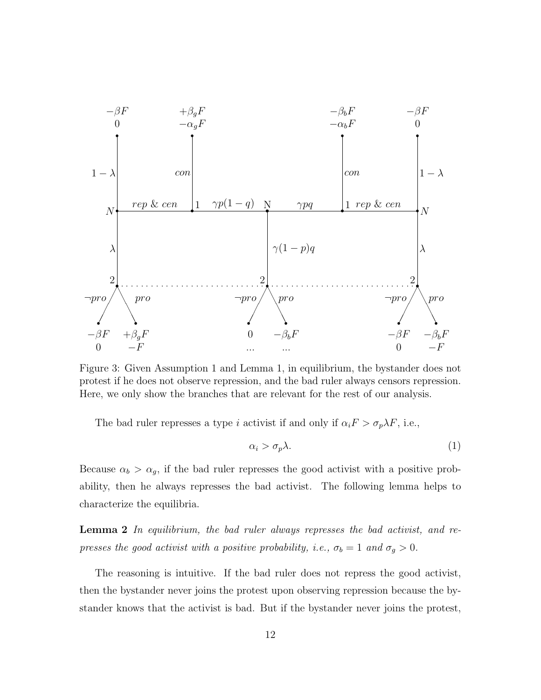

Figure 3: Given Assumption 1 and Lemma 1, in equilibrium, the bystander does not protest if he does not observe repression, and the bad ruler always censors repression. Here, we only show the branches that are relevant for the rest of our analysis.

The bad ruler represses a type i activist if and only if  $\alpha_i F > \sigma_p \lambda F$ , i.e.,

$$
\alpha_i > \sigma_p \lambda. \tag{1}
$$

Because  $\alpha_b > \alpha_g$ , if the bad ruler represses the good activist with a positive probability, then he always represses the bad activist. The following lemma helps to characterize the equilibria.

**Lemma 2** In equilibrium, the bad ruler always represses the bad activist, and represses the good activist with a positive probability, i.e.,  $\sigma_b = 1$  and  $\sigma_g > 0$ .

The reasoning is intuitive. If the bad ruler does not repress the good activist, then the bystander never joins the protest upon observing repression because the bystander knows that the activist is bad. But if the bystander never joins the protest,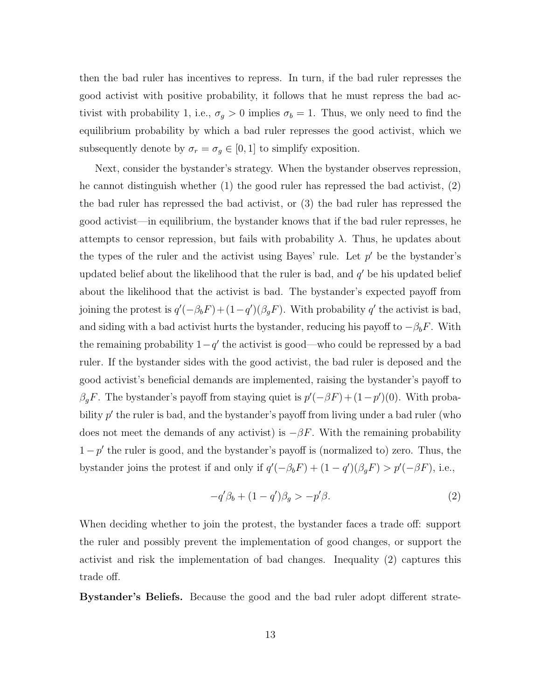then the bad ruler has incentives to repress. In turn, if the bad ruler represses the good activist with positive probability, it follows that he must repress the bad activist with probability 1, i.e.,  $\sigma_g > 0$  implies  $\sigma_b = 1$ . Thus, we only need to find the equilibrium probability by which a bad ruler represses the good activist, which we subsequently denote by  $\sigma_r = \sigma_g \in [0, 1]$  to simplify exposition.

Next, consider the bystander's strategy. When the bystander observes repression, he cannot distinguish whether (1) the good ruler has repressed the bad activist, (2) the bad ruler has repressed the bad activist, or (3) the bad ruler has repressed the good activist—in equilibrium, the bystander knows that if the bad ruler represses, he attempts to censor repression, but fails with probability  $\lambda$ . Thus, he updates about the types of the ruler and the activist using Bayes' rule. Let  $p'$  be the bystander's updated belief about the likelihood that the ruler is bad, and  $q'$  be his updated belief about the likelihood that the activist is bad. The bystander's expected payoff from joining the protest is  $q'(-\beta_b F) + (1-q')(\beta_g F)$ . With probability q' the activist is bad, and siding with a bad activist hurts the bystander, reducing his payoff to  $-\beta_b F$ . With the remaining probability  $1-q'$  the activist is good—who could be repressed by a bad ruler. If the bystander sides with the good activist, the bad ruler is deposed and the good activist's beneficial demands are implemented, raising the bystander's payoff to  $\beta_g F$ . The bystander's payoff from staying quiet is  $p'(-\beta F) + (1-p')(0)$ . With probability  $p'$  the ruler is bad, and the bystander's payoff from living under a bad ruler (who does not meet the demands of any activist) is  $-\beta F$ . With the remaining probability  $1-p'$  the ruler is good, and the bystander's payoff is (normalized to) zero. Thus, the bystander joins the protest if and only if  $q'(-\beta_b F) + (1 - q')(\beta_g F) > p'(-\beta F)$ , i.e.,

$$
-q'\beta_b + (1-q')\beta_g > -p'\beta. \tag{2}
$$

When deciding whether to join the protest, the bystander faces a trade off: support the ruler and possibly prevent the implementation of good changes, or support the activist and risk the implementation of bad changes. Inequality (2) captures this trade off.

Bystander's Beliefs. Because the good and the bad ruler adopt different strate-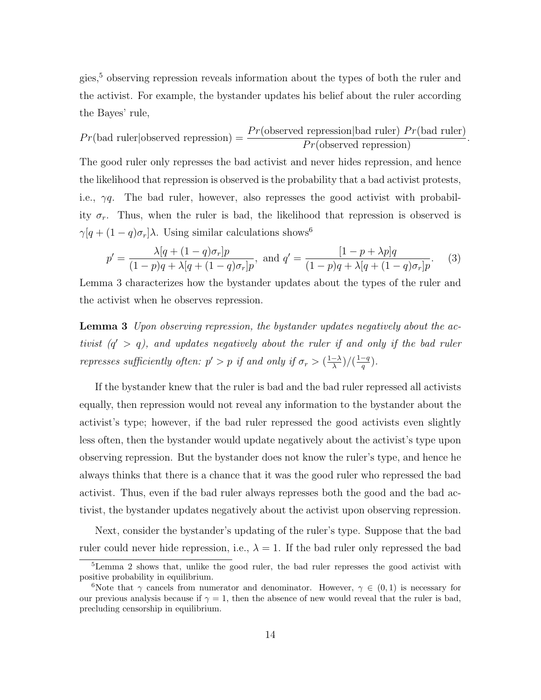gies,<sup>5</sup> observing repression reveals information about the types of both the ruler and the activist. For example, the bystander updates his belief about the ruler according the Bayes' rule,

$$
Pr(\text{bad ruler}|\text{observed repression}) = \frac{Pr(\text{observed repression}|\text{bad ruler})\ Pr(\text{bad ruler})}{Pr(\text{observed repression})}.
$$

The good ruler only represses the bad activist and never hides repression, and hence the likelihood that repression is observed is the probability that a bad activist protests, i.e.,  $\gamma q$ . The bad ruler, however, also represses the good activist with probability  $\sigma_r$ . Thus, when the ruler is bad, the likelihood that repression is observed is  $\gamma[q + (1 - q)\sigma_r]\lambda$ . Using similar calculations shows<sup>6</sup>

$$
p' = \frac{\lambda[q + (1 - q)\sigma_r]p}{(1 - p)q + \lambda[q + (1 - q)\sigma_r]p}, \text{ and } q' = \frac{[1 - p + \lambda p]q}{(1 - p)q + \lambda[q + (1 - q)\sigma_r]p}.
$$
 (3)

Lemma 3 characterizes how the bystander updates about the types of the ruler and the activist when he observes repression.

**Lemma 3** Upon observing repression, the bystander updates negatively about the activist  $(q' > q)$ , and updates negatively about the ruler if and only if the bad ruler represses sufficiently often:  $p' > p$  if and only if  $\sigma_r > \left(\frac{1-\lambda}{\lambda}\right)^r$  $\frac{-\lambda}{\lambda}\big)\big/\big(\frac{1-q}{q}\big)$  $\frac{-q}{q}$ ).

If the bystander knew that the ruler is bad and the bad ruler repressed all activists equally, then repression would not reveal any information to the bystander about the activist's type; however, if the bad ruler repressed the good activists even slightly less often, then the bystander would update negatively about the activist's type upon observing repression. But the bystander does not know the ruler's type, and hence he always thinks that there is a chance that it was the good ruler who repressed the bad activist. Thus, even if the bad ruler always represses both the good and the bad activist, the bystander updates negatively about the activist upon observing repression.

Next, consider the bystander's updating of the ruler's type. Suppose that the bad ruler could never hide repression, i.e.,  $\lambda = 1$ . If the bad ruler only repressed the bad

<sup>5</sup>Lemma 2 shows that, unlike the good ruler, the bad ruler represses the good activist with positive probability in equilibrium.

<sup>&</sup>lt;sup>6</sup>Note that  $\gamma$  cancels from numerator and denominator. However,  $\gamma \in (0,1)$  is necessary for our previous analysis because if  $\gamma = 1$ , then the absence of new would reveal that the ruler is bad, precluding censorship in equilibrium.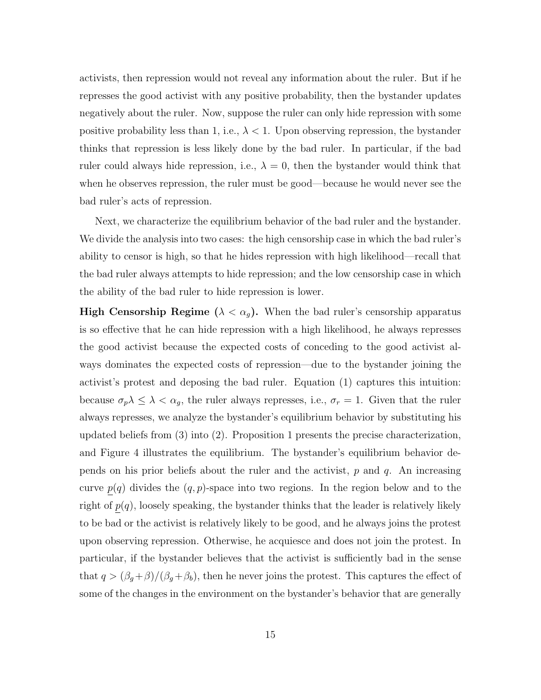activists, then repression would not reveal any information about the ruler. But if he represses the good activist with any positive probability, then the bystander updates negatively about the ruler. Now, suppose the ruler can only hide repression with some positive probability less than 1, i.e.,  $\lambda < 1$ . Upon observing repression, the bystander thinks that repression is less likely done by the bad ruler. In particular, if the bad ruler could always hide repression, i.e.,  $\lambda = 0$ , then the bystander would think that when he observes repression, the ruler must be good—because he would never see the bad ruler's acts of repression.

Next, we characterize the equilibrium behavior of the bad ruler and the bystander. We divide the analysis into two cases: the high censorship case in which the bad ruler's ability to censor is high, so that he hides repression with high likelihood—recall that the bad ruler always attempts to hide repression; and the low censorship case in which the ability of the bad ruler to hide repression is lower.

**High Censorship Regime** ( $\lambda < \alpha_g$ ). When the bad ruler's censorship apparatus is so effective that he can hide repression with a high likelihood, he always represses the good activist because the expected costs of conceding to the good activist always dominates the expected costs of repression—due to the bystander joining the activist's protest and deposing the bad ruler. Equation (1) captures this intuition: because  $\sigma_p \lambda \leq \lambda < \alpha_g$ , the ruler always represses, i.e.,  $\sigma_r = 1$ . Given that the ruler always represses, we analyze the bystander's equilibrium behavior by substituting his updated beliefs from (3) into (2). Proposition 1 presents the precise characterization, and Figure 4 illustrates the equilibrium. The bystander's equilibrium behavior depends on his prior beliefs about the ruler and the activist,  $p$  and  $q$ . An increasing curve  $p(q)$  divides the  $(q, p)$ -space into two regions. In the region below and to the right of  $p(q)$ , loosely speaking, the bystander thinks that the leader is relatively likely to be bad or the activist is relatively likely to be good, and he always joins the protest upon observing repression. Otherwise, he acquiesce and does not join the protest. In particular, if the bystander believes that the activist is sufficiently bad in the sense that  $q > (\beta_g + \beta)/(\beta_g + \beta_b)$ , then he never joins the protest. This captures the effect of some of the changes in the environment on the bystander's behavior that are generally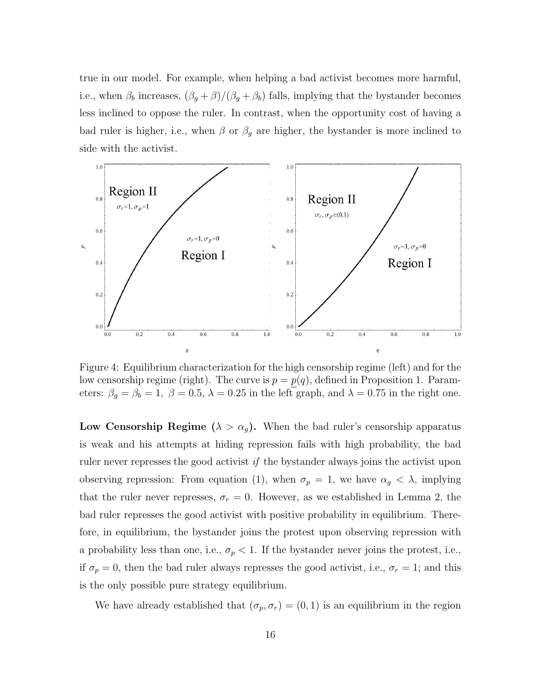true in our model. For example, when helping a bad activist becomes more harmful, i.e., when  $\beta_b$  increases,  $(\beta_g + \beta)/(\beta_g + \beta_b)$  falls, implying that the bystander becomes less inclined to oppose the ruler. In contrast, when the opportunity cost of having a bad ruler is higher, i.e., when  $\beta$  or  $\beta_g$  are higher, the bystander is more inclined to side with the activist.



Figure 4: Equilibrium characterization for the high censorship regime (left) and for the low censorship regime (right). The curve is  $p = p(q)$ , defined in Proposition 1. Parameters:  $\beta_g = \beta_b = 1$ ,  $\beta = 0.5$ ,  $\lambda = 0.25$  in the left graph, and  $\lambda = 0.75$  in the right one.

Low Censorship Regime ( $\lambda > \alpha_g$ ). When the bad ruler's censorship apparatus is weak and his attempts at hiding repression fails with high probability, the bad ruler never represses the good activist  $if$  the bystander always joins the activist upon observing repression: From equation (1), when  $\sigma_p = 1$ , we have  $\alpha_g < \lambda$ , implying that the ruler never represses,  $\sigma_r = 0$ . However, as we established in Lemma 2, the bad ruler represses the good activist with positive probability in equilibrium. Therefore, in equilibrium, the bystander joins the protest upon observing repression with a probability less than one, i.e.,  $\sigma_p < 1$ . If the bystander never joins the protest, i.e., if  $\sigma_p = 0$ , then the bad ruler always represses the good activist, i.e.,  $\sigma_r = 1$ ; and this is the only possible pure strategy equilibrium.

We have already established that  $(\sigma_p, \sigma_r) = (0, 1)$  is an equilibrium in the region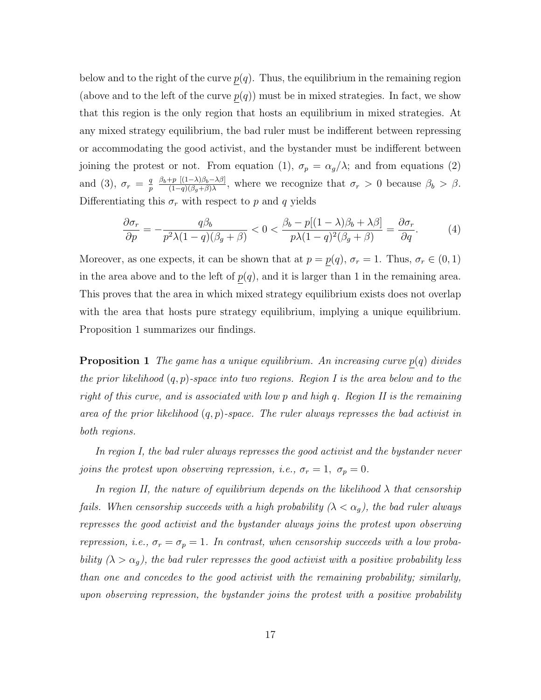below and to the right of the curve  $p(q)$ . Thus, the equilibrium in the remaining region (above and to the left of the curve  $p(q)$ ) must be in mixed strategies. In fact, we show that this region is the only region that hosts an equilibrium in mixed strategies. At any mixed strategy equilibrium, the bad ruler must be indifferent between repressing or accommodating the good activist, and the bystander must be indifferent between joining the protest or not. From equation (1),  $\sigma_p = \alpha_g/\lambda$ ; and from equations (2) and (3),  $\sigma_r = \frac{q}{n}$ p  $\beta_b+p$   $[(1-\lambda)\beta_b-\lambda\beta]$  $\frac{f(p)(1-\lambda)\beta_b-\lambda\beta_1}{(1-q)(\beta_g+\beta)\lambda}$ , where we recognize that  $\sigma_r > 0$  because  $\beta_b > \beta$ . Differentiating this  $\sigma_r$  with respect to p and q yields

$$
\frac{\partial \sigma_r}{\partial p} = -\frac{q\beta_b}{p^2\lambda(1-q)(\beta_g+\beta)} < 0 < \frac{\beta_b - p[(1-\lambda)\beta_b + \lambda\beta]}{p\lambda(1-q)^2(\beta_g+\beta)} = \frac{\partial \sigma_r}{\partial q}.\tag{4}
$$

Moreover, as one expects, it can be shown that at  $p = p(q)$ ,  $\sigma_r = 1$ . Thus,  $\sigma_r \in (0, 1)$ in the area above and to the left of  $p(q)$ , and it is larger than 1 in the remaining area. This proves that the area in which mixed strategy equilibrium exists does not overlap with the area that hosts pure strategy equilibrium, implying a unique equilibrium. Proposition 1 summarizes our findings.

**Proposition 1** The game has a unique equilibrium. An increasing curve  $p(q)$  divides the prior likelihood  $(q, p)$ -space into two regions. Region I is the area below and to the right of this curve, and is associated with low p and high q. Region II is the remaining area of the prior likelihood  $(q, p)$ -space. The ruler always represses the bad activist in both regions.

In region I, the bad ruler always represses the good activist and the bystander never joins the protest upon observing repression, i.e.,  $\sigma_r = 1, \sigma_p = 0$ .

In region II, the nature of equilibrium depends on the likelihood  $\lambda$  that censorship fails. When censorship succeeds with a high probability  $(\lambda < \alpha_q)$ , the bad ruler always represses the good activist and the bystander always joins the protest upon observing repression, i.e.,  $\sigma_r = \sigma_p = 1$ . In contrast, when censorship succeeds with a low probability  $(\lambda > \alpha_g)$ , the bad ruler represses the good activist with a positive probability less than one and concedes to the good activist with the remaining probability; similarly, upon observing repression, the bystander joins the protest with a positive probability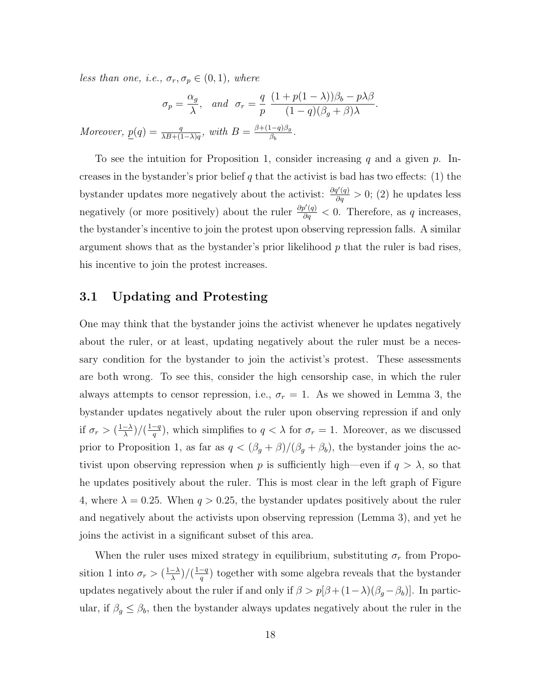less than one, i.e.,  $\sigma_r, \sigma_p \in (0,1)$ , where

$$
\sigma_p = \frac{\alpha_g}{\lambda}, \quad \text{and} \quad \sigma_r = \frac{q}{p} \frac{(1 + p(1 - \lambda))\beta_b - p\lambda\beta}{(1 - q)(\beta_g + \beta)\lambda}.
$$
  
Moreover,  $\underline{p}(q) = \frac{q}{\lambda B + (1 - \lambda)q}$ , with  $B = \frac{\beta + (1 - q)\beta_g}{\beta_b}$ .

To see the intuition for Proposition 1, consider increasing q and a given p. Increases in the bystander's prior belief q that the activist is bad has two effects:  $(1)$  the bystander updates more negatively about the activist:  $\frac{\partial q'(q)}{\partial q} > 0$ ; (2) he updates less negatively (or more positively) about the ruler  $\frac{\partial p'(q)}{\partial q} < 0$ . Therefore, as q increases, the bystander's incentive to join the protest upon observing repression falls. A similar argument shows that as the bystander's prior likelihood  $p$  that the ruler is bad rises, his incentive to join the protest increases.

#### 3.1 Updating and Protesting

One may think that the bystander joins the activist whenever he updates negatively about the ruler, or at least, updating negatively about the ruler must be a necessary condition for the bystander to join the activist's protest. These assessments are both wrong. To see this, consider the high censorship case, in which the ruler always attempts to censor repression, i.e.,  $\sigma_r = 1$ . As we showed in Lemma 3, the bystander updates negatively about the ruler upon observing repression if and only if  $\sigma_r > (\frac{1-\lambda}{\lambda})$  $\frac{-\lambda}{\lambda}$ )/ $\left(\frac{1-q}{q}\right)$  $\frac{-q}{q}$ ), which simplifies to  $q < \lambda$  for  $\sigma_r = 1$ . Moreover, as we discussed prior to Proposition 1, as far as  $q < (\beta_g + \beta)/(\beta_g + \beta_b)$ , the bystander joins the activist upon observing repression when p is sufficiently high—even if  $q > \lambda$ , so that he updates positively about the ruler. This is most clear in the left graph of Figure 4, where  $\lambda = 0.25$ . When  $q > 0.25$ , the bystander updates positively about the ruler and negatively about the activists upon observing repression (Lemma 3), and yet he joins the activist in a significant subset of this area.

When the ruler uses mixed strategy in equilibrium, substituting  $\sigma_r$  from Proposition 1 into  $\sigma_r > (\frac{1-\lambda}{\lambda})$  $\frac{-\lambda}{\lambda}\big)\big/\big(\frac{1-q}{q}\big)$  $\frac{-q}{q}$ ) together with some algebra reveals that the bystander updates negatively about the ruler if and only if  $\beta > p[\beta + (1-\lambda)(\beta_g - \beta_b)]$ . In particular, if  $\beta_g \leq \beta_b$ , then the bystander always updates negatively about the ruler in the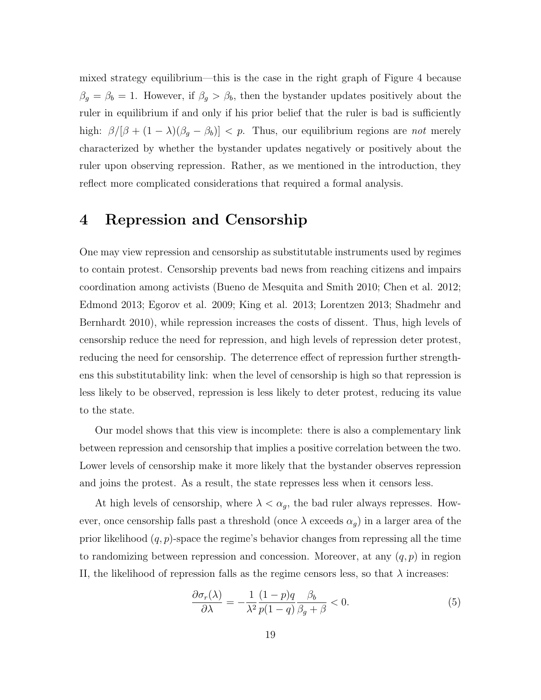mixed strategy equilibrium—this is the case in the right graph of Figure 4 because  $\beta_g = \beta_b = 1$ . However, if  $\beta_g > \beta_b$ , then the bystander updates positively about the ruler in equilibrium if and only if his prior belief that the ruler is bad is sufficiently high:  $\beta/[\beta + (1 - \lambda)(\beta_g - \beta_b)] < p$ . Thus, our equilibrium regions are not merely characterized by whether the bystander updates negatively or positively about the ruler upon observing repression. Rather, as we mentioned in the introduction, they reflect more complicated considerations that required a formal analysis.

# 4 Repression and Censorship

One may view repression and censorship as substitutable instruments used by regimes to contain protest. Censorship prevents bad news from reaching citizens and impairs coordination among activists (Bueno de Mesquita and Smith 2010; Chen et al. 2012; Edmond 2013; Egorov et al. 2009; King et al. 2013; Lorentzen 2013; Shadmehr and Bernhardt 2010), while repression increases the costs of dissent. Thus, high levels of censorship reduce the need for repression, and high levels of repression deter protest, reducing the need for censorship. The deterrence effect of repression further strengthens this substitutability link: when the level of censorship is high so that repression is less likely to be observed, repression is less likely to deter protest, reducing its value to the state.

Our model shows that this view is incomplete: there is also a complementary link between repression and censorship that implies a positive correlation between the two. Lower levels of censorship make it more likely that the bystander observes repression and joins the protest. As a result, the state represses less when it censors less.

At high levels of censorship, where  $\lambda < \alpha_g$ , the bad ruler always represses. However, once censorship falls past a threshold (once  $\lambda$  exceeds  $\alpha_g$ ) in a larger area of the prior likelihood  $(q, p)$ -space the regime's behavior changes from repressing all the time to randomizing between repression and concession. Moreover, at any  $(q, p)$  in region II, the likelihood of repression falls as the regime censors less, so that  $\lambda$  increases:

$$
\frac{\partial \sigma_r(\lambda)}{\partial \lambda} = -\frac{1}{\lambda^2} \frac{(1-p)q}{p(1-q)} \frac{\beta_b}{\beta_g + \beta} < 0. \tag{5}
$$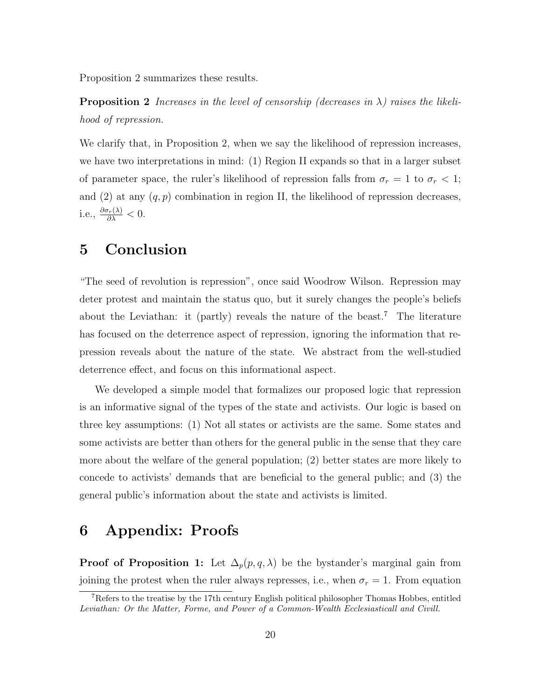Proposition 2 summarizes these results.

**Proposition 2** Increases in the level of censorship (decreases in  $\lambda$ ) raises the likelihood of repression.

We clarify that, in Proposition 2, when we say the likelihood of repression increases, we have two interpretations in mind: (1) Region II expands so that in a larger subset of parameter space, the ruler's likelihood of repression falls from  $\sigma_r = 1$  to  $\sigma_r < 1$ ; and (2) at any  $(q, p)$  combination in region II, the likelihood of repression decreases, i.e.,  $\frac{\partial \sigma_r(\lambda)}{\partial \lambda} < 0$ .

# 5 Conclusion

"The seed of revolution is repression", once said Woodrow Wilson. Repression may deter protest and maintain the status quo, but it surely changes the people's beliefs about the Leviathan: it (partly) reveals the nature of the beast.<sup>7</sup> The literature has focused on the deterrence aspect of repression, ignoring the information that repression reveals about the nature of the state. We abstract from the well-studied deterrence effect, and focus on this informational aspect.

We developed a simple model that formalizes our proposed logic that repression is an informative signal of the types of the state and activists. Our logic is based on three key assumptions: (1) Not all states or activists are the same. Some states and some activists are better than others for the general public in the sense that they care more about the welfare of the general population; (2) better states are more likely to concede to activists' demands that are beneficial to the general public; and (3) the general public's information about the state and activists is limited.

# 6 Appendix: Proofs

**Proof of Proposition 1:** Let  $\Delta_p(p,q,\lambda)$  be the bystander's marginal gain from joining the protest when the ruler always represses, i.e., when  $\sigma_r = 1$ . From equation

<sup>&</sup>lt;sup>7</sup>Refers to the treatise by the 17th century English political philosopher Thomas Hobbes, entitled Leviathan: Or the Matter, Forme, and Power of a Common-Wealth Ecclesiasticall and Civill.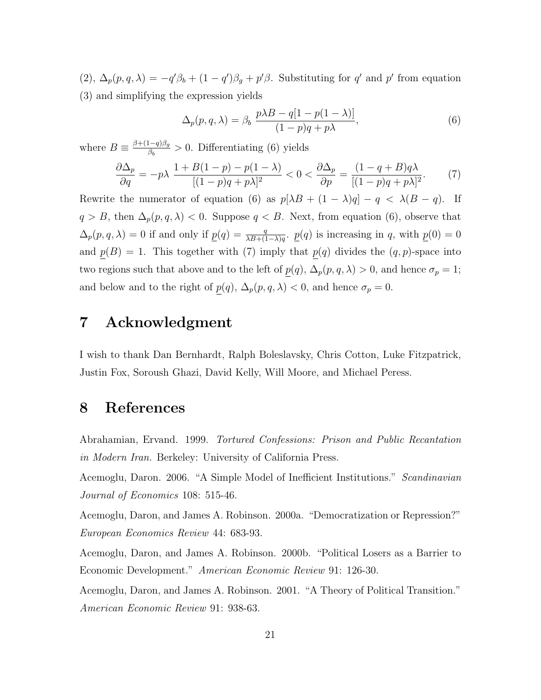(2),  $\Delta_p(p,q,\lambda) = -q'\beta_b + (1-q')\beta_g + p'\beta$ . Substituting for q' and p' from equation (3) and simplifying the expression yields

$$
\Delta_p(p,q,\lambda) = \beta_b \frac{p\lambda B - q[1 - p(1 - \lambda)]}{(1 - p)q + p\lambda},\tag{6}
$$

where  $B \equiv \frac{\beta + (1-q)\beta_g}{\beta_g}$  $\frac{(-q)\beta_g}{\beta_b} > 0$ . Differentiating (6) yields

$$
\frac{\partial \Delta_p}{\partial q} = -p\lambda \frac{1 + B(1 - p) - p(1 - \lambda)}{[(1 - p)q + p\lambda]^2} < 0 < \frac{\partial \Delta_p}{\partial p} = \frac{(1 - q + B)q\lambda}{[(1 - p)q + p\lambda]^2}.\tag{7}
$$

Rewrite the numerator of equation (6) as  $p[\lambda B + (1 - \lambda)q] - q < \lambda (B - q)$ . If  $q > B$ , then  $\Delta_p(p,q,\lambda) < 0$ . Suppose  $q < B$ . Next, from equation (6), observe that  $\Delta_p(p,q,\lambda) = 0$  if and only if  $\underline{p}(q) = \frac{q}{\lambda B + (1-\lambda)q}$ .  $\underline{p}(q)$  is increasing in q, with  $\underline{p}(0) = 0$ and  $p(B) = 1$ . This together with (7) imply that  $p(q)$  divides the  $(q, p)$ -space into two regions such that above and to the left of  $\underline{p}(q)$ ,  $\Delta_p(p,q,\lambda) > 0$ , and hence  $\sigma_p = 1$ ; and below and to the right of  $\underline{p}(q)$ ,  $\Delta_p(p,q,\lambda) < 0$ , and hence  $\sigma_p = 0$ .

# 7 Acknowledgment

I wish to thank Dan Bernhardt, Ralph Boleslavsky, Chris Cotton, Luke Fitzpatrick, Justin Fox, Soroush Ghazi, David Kelly, Will Moore, and Michael Peress.

### 8 References

Abrahamian, Ervand. 1999. Tortured Confessions: Prison and Public Recantation in Modern Iran. Berkeley: University of California Press.

Acemoglu, Daron. 2006. "A Simple Model of Inefficient Institutions." Scandinavian Journal of Economics 108: 515-46.

Acemoglu, Daron, and James A. Robinson. 2000a. "Democratization or Repression?" European Economics Review 44: 683-93.

Acemoglu, Daron, and James A. Robinson. 2000b. "Political Losers as a Barrier to Economic Development." American Economic Review 91: 126-30.

Acemoglu, Daron, and James A. Robinson. 2001. "A Theory of Political Transition." American Economic Review 91: 938-63.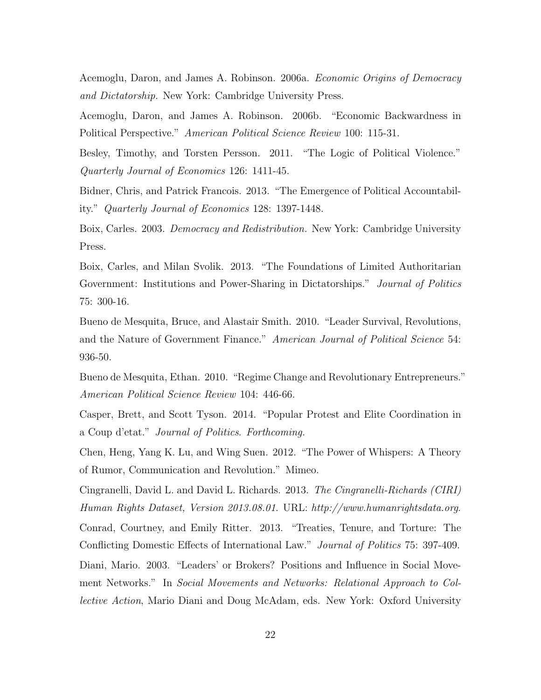Acemoglu, Daron, and James A. Robinson. 2006a. Economic Origins of Democracy and Dictatorship. New York: Cambridge University Press.

Acemoglu, Daron, and James A. Robinson. 2006b. "Economic Backwardness in Political Perspective." American Political Science Review 100: 115-31.

Besley, Timothy, and Torsten Persson. 2011. "The Logic of Political Violence." Quarterly Journal of Economics 126: 1411-45.

Bidner, Chris, and Patrick Francois. 2013. "The Emergence of Political Accountability." Quarterly Journal of Economics 128: 1397-1448.

Boix, Carles. 2003. Democracy and Redistribution. New York: Cambridge University Press.

Boix, Carles, and Milan Svolik. 2013. "The Foundations of Limited Authoritarian Government: Institutions and Power-Sharing in Dictatorships." *Journal of Politics* 75: 300-16.

Bueno de Mesquita, Bruce, and Alastair Smith. 2010. "Leader Survival, Revolutions, and the Nature of Government Finance." American Journal of Political Science 54: 936-50.

Bueno de Mesquita, Ethan. 2010. "Regime Change and Revolutionary Entrepreneurs." American Political Science Review 104: 446-66.

Casper, Brett, and Scott Tyson. 2014. "Popular Protest and Elite Coordination in a Coup d'etat." Journal of Politics. Forthcoming.

Chen, Heng, Yang K. Lu, and Wing Suen. 2012. "The Power of Whispers: A Theory of Rumor, Communication and Revolution." Mimeo.

Cingranelli, David L. and David L. Richards. 2013. The Cingranelli-Richards (CIRI) Human Rights Dataset, Version 2013.08.01. URL: http://www.humanrightsdata.org. Conrad, Courtney, and Emily Ritter. 2013. "Treaties, Tenure, and Torture: The Conflicting Domestic Effects of International Law." Journal of Politics 75: 397-409. Diani, Mario. 2003. "Leaders' or Brokers? Positions and Influence in Social Movement Networks." In Social Movements and Networks: Relational Approach to Collective Action, Mario Diani and Doug McAdam, eds. New York: Oxford University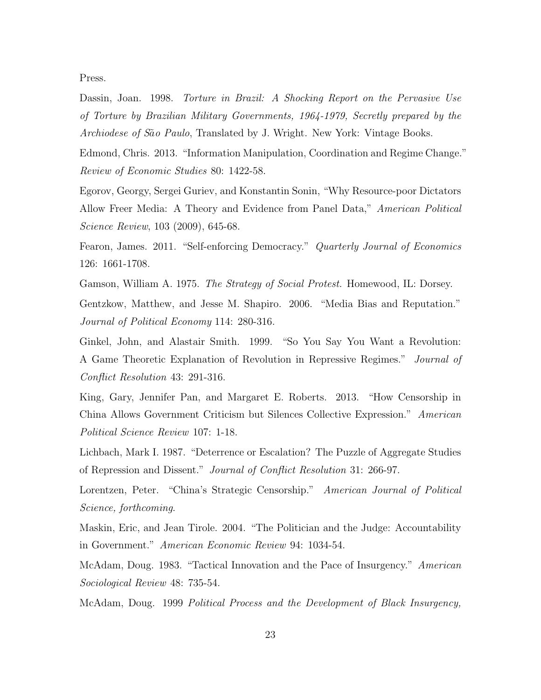Press.

Dassin, Joan. 1998. Torture in Brazil: A Shocking Report on the Pervasive Use of Torture by Brazilian Military Governments, 1964-1979, Secretly prepared by the Archiodese of São Paulo, Translated by J. Wright. New York: Vintage Books.

Edmond, Chris. 2013. "Information Manipulation, Coordination and Regime Change." Review of Economic Studies 80: 1422-58.

Egorov, Georgy, Sergei Guriev, and Konstantin Sonin, "Why Resource-poor Dictators Allow Freer Media: A Theory and Evidence from Panel Data," American Political Science Review, 103 (2009), 645-68.

Fearon, James. 2011. "Self-enforcing Democracy." Quarterly Journal of Economics 126: 1661-1708.

Gamson, William A. 1975. *The Strategy of Social Protest*. Homewood, IL: Dorsey. Gentzkow, Matthew, and Jesse M. Shapiro. 2006. "Media Bias and Reputation." Journal of Political Economy 114: 280-316.

Ginkel, John, and Alastair Smith. 1999. "So You Say You Want a Revolution: A Game Theoretic Explanation of Revolution in Repressive Regimes." Journal of Conflict Resolution 43: 291-316.

King, Gary, Jennifer Pan, and Margaret E. Roberts. 2013. "How Censorship in China Allows Government Criticism but Silences Collective Expression." American Political Science Review 107: 1-18.

Lichbach, Mark I. 1987. "Deterrence or Escalation? The Puzzle of Aggregate Studies of Repression and Dissent." Journal of Conflict Resolution 31: 266-97.

Lorentzen, Peter. "China's Strategic Censorship." American Journal of Political Science, forthcoming.

Maskin, Eric, and Jean Tirole. 2004. "The Politician and the Judge: Accountability in Government." American Economic Review 94: 1034-54.

McAdam, Doug. 1983. "Tactical Innovation and the Pace of Insurgency." American Sociological Review 48: 735-54.

McAdam, Doug. 1999 Political Process and the Development of Black Insurgency,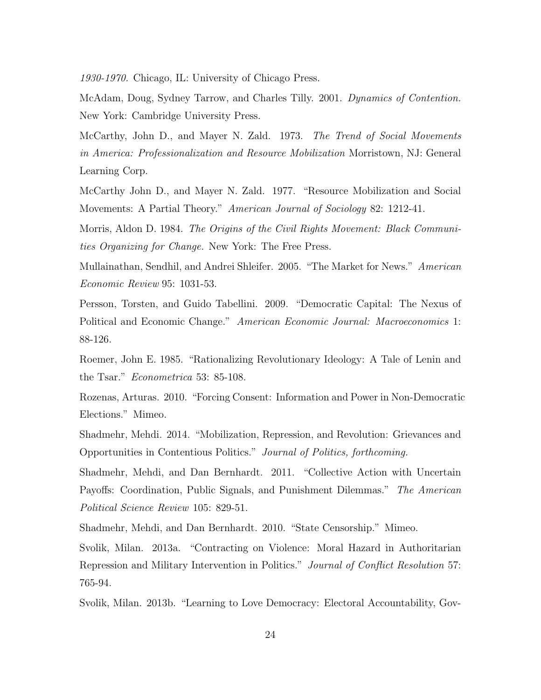1930-1970. Chicago, IL: University of Chicago Press.

McAdam, Doug, Sydney Tarrow, and Charles Tilly. 2001. Dynamics of Contention. New York: Cambridge University Press.

McCarthy, John D., and Mayer N. Zald. 1973. The Trend of Social Movements in America: Professionalization and Resource Mobilization Morristown, NJ: General Learning Corp.

McCarthy John D., and Mayer N. Zald. 1977. "Resource Mobilization and Social Movements: A Partial Theory." American Journal of Sociology 82: 1212-41.

Morris, Aldon D. 1984. The Origins of the Civil Rights Movement: Black Communities Organizing for Change. New York: The Free Press.

Mullainathan, Sendhil, and Andrei Shleifer. 2005. "The Market for News." American Economic Review 95: 1031-53.

Persson, Torsten, and Guido Tabellini. 2009. "Democratic Capital: The Nexus of Political and Economic Change." American Economic Journal: Macroeconomics 1: 88-126.

Roemer, John E. 1985. "Rationalizing Revolutionary Ideology: A Tale of Lenin and the Tsar." Econometrica 53: 85-108.

Rozenas, Arturas. 2010. "Forcing Consent: Information and Power in Non-Democratic Elections." Mimeo.

Shadmehr, Mehdi. 2014. "Mobilization, Repression, and Revolution: Grievances and Opportunities in Contentious Politics." Journal of Politics, forthcoming.

Shadmehr, Mehdi, and Dan Bernhardt. 2011. "Collective Action with Uncertain Payoffs: Coordination, Public Signals, and Punishment Dilemmas." The American Political Science Review 105: 829-51.

Shadmehr, Mehdi, and Dan Bernhardt. 2010. "State Censorship." Mimeo.

Svolik, Milan. 2013a. "Contracting on Violence: Moral Hazard in Authoritarian Repression and Military Intervention in Politics." Journal of Conflict Resolution 57: 765-94.

Svolik, Milan. 2013b. "Learning to Love Democracy: Electoral Accountability, Gov-